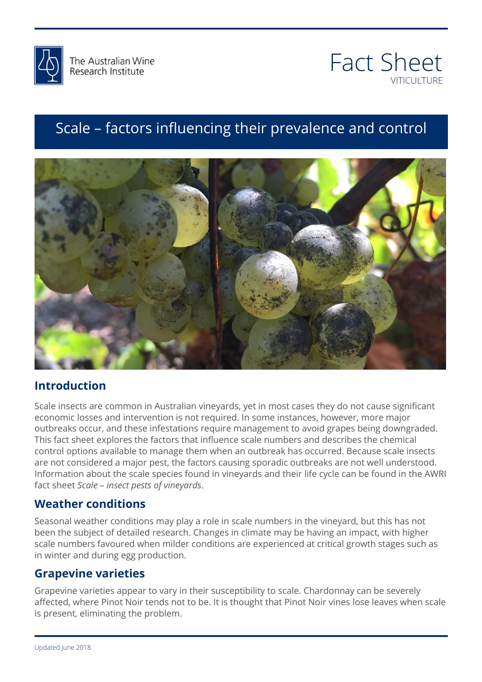



# Scale – factors influencing their prevalence and control



## **Introduction**

else that we can we<br>Scale insects are common in Australian vineyards, yet in most cases they do not cause significant outbreaks occur, and these infestations require management to avoid grapes being downgraded.<br>This fact sheet explores the factors that influence scale numbers and describes the chemical are not considered a major pest, the factors causing sporadic outbreaks are not well understood.<br>Information about the scale species found in vineyards and their life cycle can be found in the AWRI economic losses and intervention is not required. In some instances, however, more major This fact sheet explores the factors that influence scale numbers and describes the chemical control options available to manage them when an outbreak has occurred. Because scale insects are not considered a major pest, the factors causing sporadic outbreaks are not well understood. fact sheet *Scale – insect pests of vineyards*.

## **Weather conditions**

been the subject of detailed research. Changes in climate may be having an impact, with higher<br>scale numbers favoured when milder conditions are experienced at critical growth stages such as Seasonal weather conditions may play a role in scale numbers in the vineyard, but this has not scale numbers favoured when milder conditions are experienced at critical growth stages such as in winter and during egg production.

#### **Grapevine varieties**

Grapevine varieties appear to vary in their susceptibility to scale. Chardonnay can be severely affected, where Pinot Noir tends not to be. It is thought that Pinot Noir vines lose leaves when scale is present, eliminating the problem.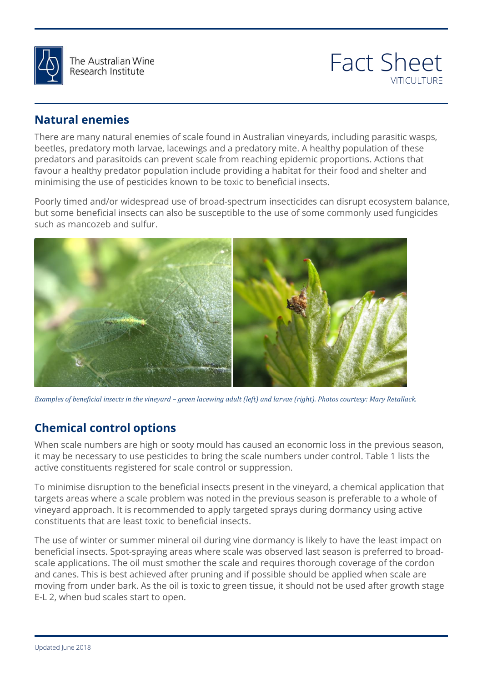

The Australian Wine Research Institute



#### **Natural enemies**

There are many natural enemies of scale found in Australian vineyards, including parasitic wasps, beetles, predatory moth larvae, lacewings and a predatory mite. A healthy population of these predators and parasitoids can prevent scale from reaching epidemic proportions. Actions that favour a healthy predator population include providing a habitat for their food and shelter and minimising the use of pesticides known to be toxic to beneficial insects.

Poorly timed and/or widespread use of broad-spectrum insecticides can disrupt ecosystem balance, but some beneficial insects can also be susceptible to the use of some commonly used fungicides such as mancozeb and sulfur.



Examples of beneficial insects in the vineyard – green lacewing adult (left) and larvae (right). Photos courtesy: Mary Retallack.<br>.

## **Chemical control options**

**Chemical control options**<br>When scale numbers are high or sooty mould has caused an economic loss in the previous season, it may be necessary to use pesticides to bring the scale numbers under control. Table 1 lists the<br>active constituents registered for scale control or suppression. active constituents registered for scale control or suppression.

To minimise disruption to the beneficial insects present in the vineyard, a chemical application that<br>targets areas where a scale problem was noted in the previous season is preferable to a whole of<br>vineyard approach. It i To minimise disruption to the beneficial insects present in the vineyard, a chemical application that vineyard approach. It is recommended to apply targeted sprays during dormancy using active constituents that are least toxic to beneficial insects.

constituents that are least toxic to benencial insects.<br>The use of winter or summer mineral oil during vine dormancy is likely to have the least impact on beneficial insects. Spot-spraying areas where scale was observed last season is preferred to broadscale applications. The oil must smother the scale and requires thorough coverage of the cordon and canes. This is best achieved after pruning and if possible should be applied when scale are moving from under bark. As the oil is toxic to green tissue, it should not be used after growth stage E-L 2, when bud scales start to open.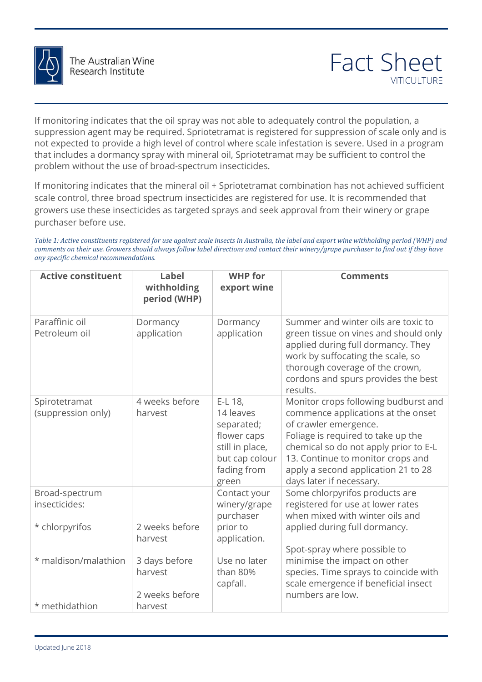

If monitoring indicates that the oil spray was not able to adequately control the population, a suppression agent may be required. Spriotetramat is registered for suppression of scale only and is not expected to provide a high level of control where scale infestation is severe. Used in a program that includes a dormancy spray with mineral oil, Spriotetramat may be sufficient to control the problem without the use of broad-spectrum insecticides.

If monitoring indicates that the mineral oil + Spriotetramat combination has not achieved sufficient scale control, three broad spectrum insecticides are registered for use. It is recommended that growers use these insecticides as targeted sprays and seek approval from their winery or grape purchaser before use.

*Table 1: Active constituents registered for use against scale insects in Australia, the label and export wine withholding period (WHP) and comments on their use. Growers should always follow label directions and contact their winery/grape purchaser to find out if they have any specific chemical recommendations.* 

| any specific chemical recommendations. |                                             |                                                                                                                |                                                                                                                                                                                                                                                                                            |
|----------------------------------------|---------------------------------------------|----------------------------------------------------------------------------------------------------------------|--------------------------------------------------------------------------------------------------------------------------------------------------------------------------------------------------------------------------------------------------------------------------------------------|
| <b>Active constituent</b>              | <b>Label</b><br>withholding<br>period (WHP) | <b>WHP</b> for<br>export wine                                                                                  | <b>Comments</b>                                                                                                                                                                                                                                                                            |
| Paraffinic oil<br>Petroleum oil        | Dormancy<br>application                     | Dormancy<br>application                                                                                        | Summer and winter oils are toxic to<br>green tissue on vines and should only<br>applied during full dormancy. They<br>work by suffocating the scale, so<br>thorough coverage of the crown,<br>cordons and spurs provides the best<br>results.                                              |
| Spirotetramat<br>(suppression only)    | 4 weeks before<br>harvest                   | E-L 18,<br>14 leaves<br>separated;<br>flower caps<br>still in place,<br>but cap colour<br>fading from<br>green | Monitor crops following budburst and<br>commence applications at the onset<br>of crawler emergence.<br>Foliage is required to take up the<br>chemical so do not apply prior to E-L<br>13. Continue to monitor crops and<br>apply a second application 21 to 28<br>days later if necessary. |
| Broad-spectrum<br>insecticides:        |                                             | Contact your<br>winery/grape<br>purchaser                                                                      | Some chlorpyrifos products are<br>registered for use at lower rates<br>when mixed with winter oils and                                                                                                                                                                                     |
| * chlorpyrifos                         | 2 weeks before<br>harvest                   | prior to<br>application.                                                                                       | applied during full dormancy.<br>Spot-spray where possible to                                                                                                                                                                                                                              |
| * maldison/malathion                   | 3 days before<br>harvest<br>2 weeks before  | Use no later<br>than 80%<br>capfall.                                                                           | minimise the impact on other<br>species. Time sprays to coincide with<br>scale emergence if beneficial insect<br>numbers are low.                                                                                                                                                          |
| * methidathion                         | harvest                                     |                                                                                                                |                                                                                                                                                                                                                                                                                            |